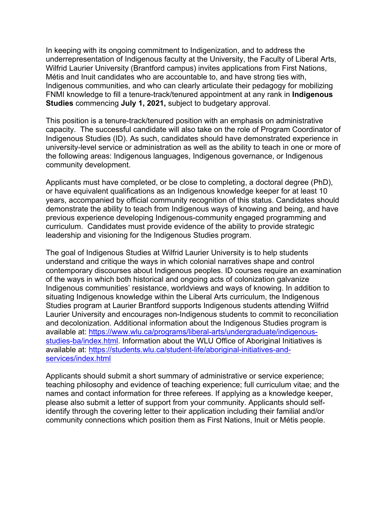In keeping with its ongoing commitment to Indigenization, and to address the underrepresentation of Indigenous faculty at the University, the Faculty of Liberal Arts, Wilfrid Laurier University (Brantford campus) invites applications from First Nations, Métis and Inuit candidates who are accountable to, and have strong ties with, Indigenous communities, and who can clearly articulate their pedagogy for mobilizing FNMI knowledge to fill a tenure-track/tenured appointment at any rank in **Indigenous Studies** commencing **July 1, 2021,** subject to budgetary approval.

This position is a tenure-track/tenured position with an emphasis on administrative capacity. The successful candidate will also take on the role of Program Coordinator of Indigenous Studies (ID). As such, candidates should have demonstrated experience in university-level service or administration as well as the ability to teach in one or more of the following areas: Indigenous languages, Indigenous governance, or Indigenous community development.

Applicants must have completed, or be close to completing, a doctoral degree (PhD), or have equivalent qualifications as an Indigenous knowledge keeper for at least 10 years, accompanied by official community recognition of this status. Candidates should demonstrate the ability to teach from Indigenous ways of knowing and being, and have previous experience developing Indigenous-community engaged programming and curriculum. Candidates must provide evidence of the ability to provide strategic leadership and visioning for the Indigenous Studies program.

The goal of Indigenous Studies at Wilfrid Laurier University is to help students understand and critique the ways in which colonial narratives shape and control contemporary discourses about Indigenous peoples. ID courses require an examination of the ways in which both historical and ongoing acts of colonization galvanize Indigenous communities' resistance, worldviews and ways of knowing. In addition to situating Indigenous knowledge within the Liberal Arts curriculum, the Indigenous Studies program at Laurier Brantford supports Indigenous students attending Wilfrid Laurier University and encourages non-Indigenous students to commit to reconciliation and decolonization. Additional information about the Indigenous Studies program is available at: [https://www.wlu.ca/programs/liberal-arts/undergraduate/indigenous](https://www.wlu.ca/programs/liberal-arts/undergraduate/indigenous-studies-ba/index.html)[studies-ba/index.html.](https://www.wlu.ca/programs/liberal-arts/undergraduate/indigenous-studies-ba/index.html) Information about the WLU Office of Aboriginal Initiatives is available at: [https://students.wlu.ca/student-life/aboriginal-initiatives-and](https://students.wlu.ca/student-life/aboriginal-initiatives-and-services/index.html)[services/index.html](https://students.wlu.ca/student-life/aboriginal-initiatives-and-services/index.html)

Applicants should submit a short summary of administrative or service experience; teaching philosophy and evidence of teaching experience; full curriculum vitae; and the names and contact information for three referees. If applying as a knowledge keeper, please also submit a letter of support from your community. Applicants should selfidentify through the covering letter to their application including their familial and/or community connections which position them as First Nations, Inuit or Métis people.